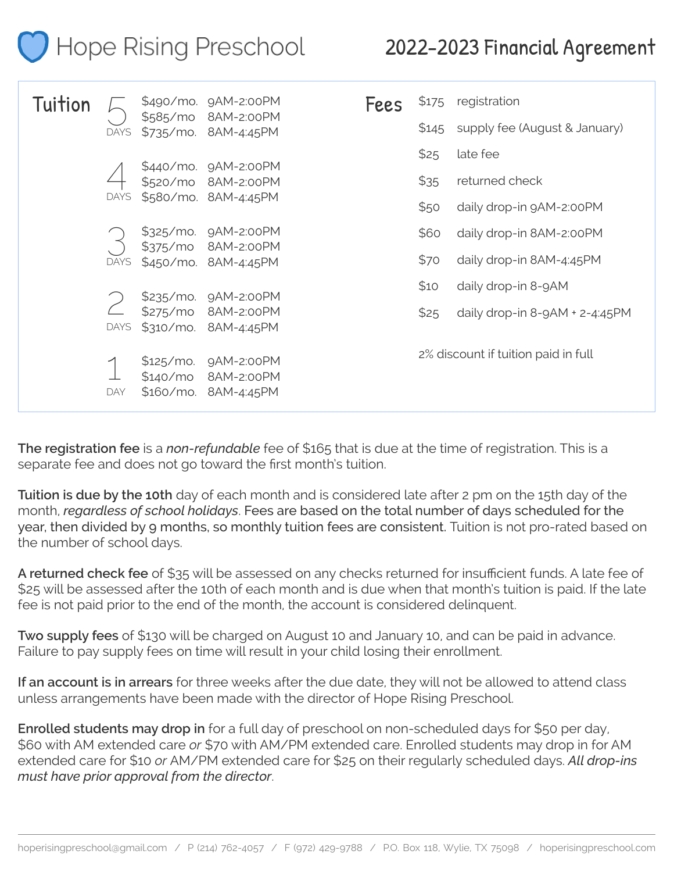| Hope Rising Preschool |                            |                                                                                                         |                                                                                                  |  | 2022-2023 Financial Agreement |       |                                     |
|-----------------------|----------------------------|---------------------------------------------------------------------------------------------------------|--------------------------------------------------------------------------------------------------|--|-------------------------------|-------|-------------------------------------|
| Tuition               |                            |                                                                                                         | \$490/mo. 9AM-2:00PM                                                                             |  | <b>Fees</b>                   | \$175 | registration                        |
|                       | <b>DAYS</b><br><b>DAYS</b> | \$585/mo<br>\$735/mo. 8AM-4:45PM<br>\$440/mo. 9AM-2:00PM<br>\$520/mo 8AM-2:00PM<br>\$580/mo. 8AM-4:45PM | 8AM-2:00PM                                                                                       |  |                               | \$145 | supply fee (August & January)       |
|                       |                            |                                                                                                         |                                                                                                  |  |                               | \$25  | late fee                            |
|                       |                            |                                                                                                         |                                                                                                  |  |                               | \$35  | returned check                      |
|                       |                            |                                                                                                         |                                                                                                  |  |                               | \$50  | daily drop-in 9AM-2:00PM            |
|                       |                            |                                                                                                         | \$325/mo. 9AM-2:00PM                                                                             |  |                               | \$60  | daily drop-in 8AM-2:00PM            |
|                       | <b>DAYS</b><br><b>DAYS</b> | \$375/m0                                                                                                | 8AM-2:00PM<br>\$450/mo. 8AM-4:45PM<br>\$235/mo. 9AM-2:00PM<br>8AM-2:00PM<br>\$310/mo. 8AM-4:45PM |  |                               | \$70  | daily drop-in 8AM-4:45PM            |
|                       |                            |                                                                                                         |                                                                                                  |  |                               | \$10  | daily drop-in 8-9AM                 |
|                       |                            | \$275/m0                                                                                                |                                                                                                  |  |                               | \$25  | daily drop-in 8-9AM + 2-4:45PM      |
|                       | DAY                        | \$140/m0<br>\$160/m0.                                                                                   | \$125/mo. 9AM-2:00PM<br>8AM-2:00PM<br>8AM-4:45PM                                                 |  |                               |       | 2% discount if tuition paid in full |

**The registration fee** is a *non-refundable* fee of \$165 that is due at the time of registration. This is a separate fee and does not go toward the first month's tuition.

**Tuition is due by the 10th** day of each month and is considered late after 2 pm on the 15th day of the month, *regardless of school holidays*. Fees are based on the total number of days scheduled for the year, then divided by 9 months, so monthly tuition fees are consistent. Tuition is not pro-rated based on the number of school days.

**A returned check fee** of \$35 will be assessed on any checks returned for insufficient funds. A late fee of \$25 will be assessed after the 10th of each month and is due when that month's tuition is paid. If the late fee is not paid prior to the end of the month, the account is considered delinquent.

**Two supply fees** of \$130 will be charged on August 10 and January 10, and can be paid in advance. Failure to pay supply fees on time will result in your child losing their enrollment.

**If an account is in arrears** for three weeks after the due date, they will not be allowed to attend class unless arrangements have been made with the director of Hope Rising Preschool.

**Enrolled students may drop in** for a full day of preschool on non-scheduled days for \$50 per day, \$60 with AM extended care *or* \$70 with AM/PM extended care. Enrolled students may drop in for AM extended care for \$10 *or* AM/PM extended care for \$25 on their regularly scheduled days. *All drop-ins must have prior approval from the director*.